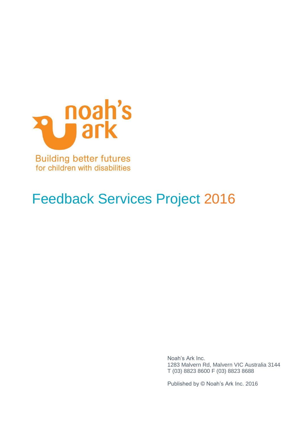

for children with disabilities

# Feedback Services Project 2016

Noah's Ark Inc. 1283 Malvern Rd, Malvern VIC Australia 3144 T (03) 8823 8600 F (03) 8823 8688

Published by © Noah's Ark Inc. 2016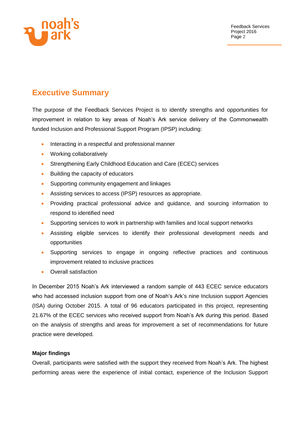

# **Executive Summary**

The purpose of the Feedback Services Project is to identify strengths and opportunities for improvement in relation to key areas of Noah's Ark service delivery of the Commonwealth funded Inclusion and Professional Support Program (IPSP) including:

- Interacting in a respectful and professional manner
- Working collaboratively
- Strengthening Early Childhood Education and Care (ECEC) services
- Building the capacity of educators
- Supporting community engagement and linkages
- Assisting services to access (IPSP) resources as appropriate.
- Providing practical professional advice and guidance, and sourcing information to respond to identified need
- Supporting services to work in partnership with families and local support networks
- Assisting eligible services to identify their professional development needs and opportunities
- Supporting services to engage in ongoing reflective practices and continuous improvement related to inclusive practices
- Overall satisfaction

In December 2015 Noah's Ark interviewed a random sample of 443 ECEC service educators who had accessed inclusion support from one of Noah's Ark's nine Inclusion support Agencies (ISA) during October 2015. A total of 96 educators participated in this project, representing 21.67% of the ECEC services who received support from Noah's Ark during this period. Based on the analysis of strengths and areas for improvement a set of recommendations for future practice were developed.

#### **Major findings**

Overall, participants were satisfied with the support they received from Noah's Ark. The highest performing areas were the experience of initial contact, experience of the Inclusion Support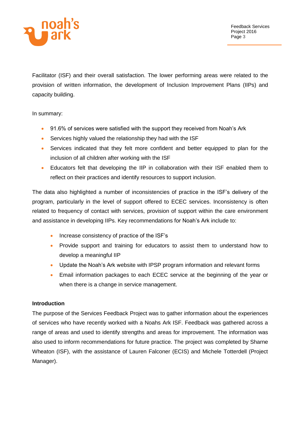

Facilitator (ISF) and their overall satisfaction. The lower performing areas were related to the provision of written information, the development of Inclusion Improvement Plans (IIPs) and capacity building.

In summary:

- 91.6% of services were satisfied with the support they received from Noah's Ark
- Services highly valued the relationship they had with the ISF
- Services indicated that they felt more confident and better equipped to plan for the inclusion of all children after working with the ISF
- Educators felt that developing the IIP in collaboration with their ISF enabled them to reflect on their practices and identify resources to support inclusion.

The data also highlighted a number of inconsistencies of practice in the ISF's delivery of the program, particularly in the level of support offered to ECEC services. Inconsistency is often related to frequency of contact with services, provision of support within the care environment and assistance in developing IIPs. Key recommendations for Noah's Ark include to:

- Increase consistency of practice of the ISF's
- Provide support and training for educators to assist them to understand how to develop a meaningful IIP
- Update the Noah's Ark website with IPSP program information and relevant forms
- Email information packages to each ECEC service at the beginning of the year or when there is a change in service management.

# **Introduction**

The purpose of the Services Feedback Project was to gather information about the experiences of services who have recently worked with a Noahs Ark ISF. Feedback was gathered across a range of areas and used to identify strengths and areas for improvement. The information was also used to inform recommendations for future practice. The project was completed by Sharne Wheaton (ISF), with the assistance of Lauren Falconer (ECIS) and Michele Totterdell (Project Manager).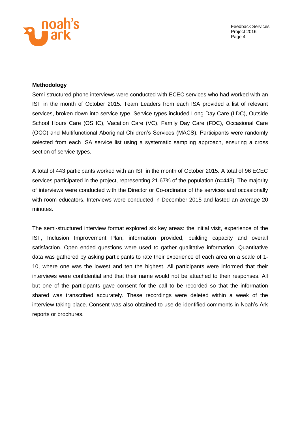

#### **Methodology**

Semi-structured phone interviews were conducted with ECEC services who had worked with an ISF in the month of October 2015. Team Leaders from each ISA provided a list of relevant services, broken down into service type. Service types included Long Day Care (LDC), Outside School Hours Care (OSHC), Vacation Care (VC), Family Day Care (FDC), Occasional Care (OCC) and Multifunctional Aboriginal Children's Services (MACS). Participants were randomly selected from each ISA service list using a systematic sampling approach, ensuring a cross section of service types.

A total of 443 participants worked with an ISF in the month of October 2015. A total of 96 ECEC services participated in the project, representing 21.67% of the population (n=443). The majority of interviews were conducted with the Director or Co-ordinator of the services and occasionally with room educators. Interviews were conducted in December 2015 and lasted an average 20 minutes.

The semi-structured interview format explored six key areas: the initial visit, experience of the ISF, Inclusion Improvement Plan, information provided, building capacity and overall satisfaction. Open ended questions were used to gather qualitative information. Quantitative data was gathered by asking participants to rate their experience of each area on a scale of 1- 10, where one was the lowest and ten the highest. All participants were informed that their interviews were confidential and that their name would not be attached to their responses. All but one of the participants gave consent for the call to be recorded so that the information shared was transcribed accurately. These recordings were deleted within a week of the interview taking place. Consent was also obtained to use de-identified comments in Noah's Ark reports or brochures.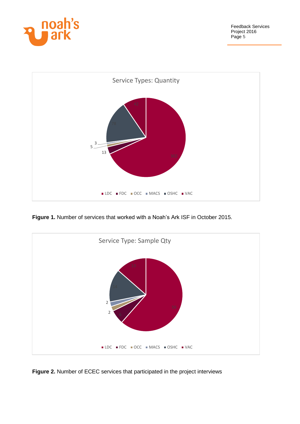



**Figure 1.** Number of services that worked with a Noah's Ark ISF in October 2015.



**Figure 2.** Number of ECEC services that participated in the project interviews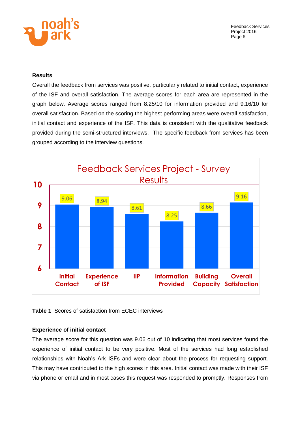

#### **Results**

Overall the feedback from services was positive, particularly related to initial contact, experience of the ISF and overall satisfaction. The average scores for each area are represented in the graph below. Average scores ranged from 8.25/10 for information provided and 9.16/10 for overall satisfaction. Based on the scoring the highest performing areas were overall satisfaction, initial contact and experience of the ISF. This data is consistent with the qualitative feedback provided during the semi-structured interviews. The specific feedback from services has been grouped according to the interview questions.



**Table 1**. Scores of satisfaction from ECEC interviews

#### **Experience of initial contact**

The average score for this question was 9.06 out of 10 indicating that most services found the experience of initial contact to be very positive. Most of the services had long established relationships with Noah's Ark ISFs and were clear about the process for requesting support. This may have contributed to the high scores in this area. Initial contact was made with their ISF via phone or email and in most cases this request was responded to promptly. Responses from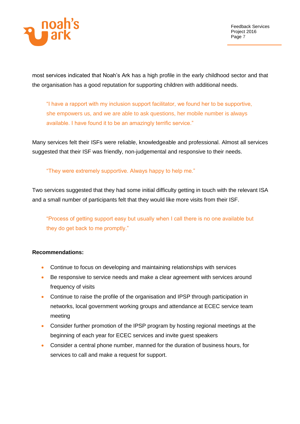

most services indicated that Noah's Ark has a high profile in the early childhood sector and that the organisation has a good reputation for supporting children with additional needs.

"I have a rapport with my inclusion support facilitator, we found her to be supportive, she empowers us, and we are able to ask questions, her mobile number is always available. I have found it to be an amazingly terrific service."

Many services felt their ISFs were reliable, knowledgeable and professional. Almost all services suggested that their ISF was friendly, non-judgemental and responsive to their needs.

"They were extremely supportive. Always happy to help me."

Two services suggested that they had some initial difficulty getting in touch with the relevant ISA and a small number of participants felt that they would like more visits from their ISF.

"Process of getting support easy but usually when I call there is no one available but they do get back to me promptly."

# **Recommendations:**

- Continue to focus on developing and maintaining relationships with services
- Be responsive to service needs and make a clear agreement with services around frequency of visits
- Continue to raise the profile of the organisation and IPSP through participation in networks, local government working groups and attendance at ECEC service team meeting
- Consider further promotion of the IPSP program by hosting regional meetings at the beginning of each year for ECEC services and invite guest speakers
- Consider a central phone number, manned for the duration of business hours, for services to call and make a request for support.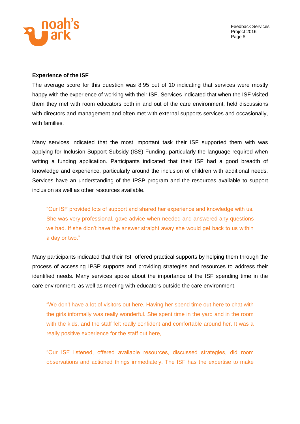

#### **Experience of the ISF**

The average score for this question was 8.95 out of 10 indicating that services were mostly happy with the experience of working with their ISF. Services indicated that when the ISF visited them they met with room educators both in and out of the care environment, held discussions with directors and management and often met with external supports services and occasionally, with families.

Many services indicated that the most important task their ISF supported them with was applying for Inclusion Support Subsidy (ISS) Funding, particularly the language required when writing a funding application. Participants indicated that their ISF had a good breadth of knowledge and experience, particularly around the inclusion of children with additional needs. Services have an understanding of the IPSP program and the resources available to support inclusion as well as other resources available.

"Our ISF provided lots of support and shared her experience and knowledge with us. She was very professional, gave advice when needed and answered any questions we had. If she didn't have the answer straight away she would get back to us within a day or two."

Many participants indicated that their ISF offered practical supports by helping them through the process of accessing IPSP supports and providing strategies and resources to address their identified needs. Many services spoke about the importance of the ISF spending time in the care environment, as well as meeting with educators outside the care environment.

"We don't have a lot of visitors out here. Having her spend time out here to chat with the girls informally was really wonderful. She spent time in the yard and in the room with the kids, and the staff felt really confident and comfortable around her. It was a really positive experience for the staff out here,

"Our ISF listened, offered available resources, discussed strategies, did room observations and actioned things immediately. The ISF has the expertise to make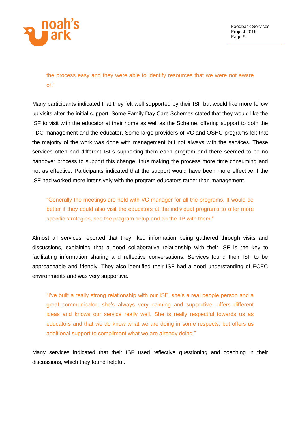

the process easy and they were able to identify resources that we were not aware of."

Many participants indicated that they felt well supported by their ISF but would like more follow up visits after the initial support. Some Family Day Care Schemes stated that they would like the ISF to visit with the educator at their home as well as the Scheme, offering support to both the FDC management and the educator. Some large providers of VC and OSHC programs felt that the majority of the work was done with management but not always with the services. These services often had different ISFs supporting them each program and there seemed to be no handover process to support this change, thus making the process more time consuming and not as effective. Participants indicated that the support would have been more effective if the ISF had worked more intensively with the program educators rather than management.

"Generally the meetings are held with VC manager for all the programs. It would be better if they could also visit the educators at the individual programs to offer more specific strategies, see the program setup and do the IIP with them."

Almost all services reported that they liked information being gathered through visits and discussions, explaining that a good collaborative relationship with their ISF is the key to facilitating information sharing and reflective conversations. Services found their ISF to be approachable and friendly. They also identified their ISF had a good understanding of ECEC environments and was very supportive.

"I've built a really strong relationship with our ISF, she's a real people person and a great communicator, she's always very calming and supportive, offers different ideas and knows our service really well. She is really respectful towards us as educators and that we do know what we are doing in some respects, but offers us additional support to compliment what we are already doing."

Many services indicated that their ISF used reflective questioning and coaching in their discussions, which they found helpful.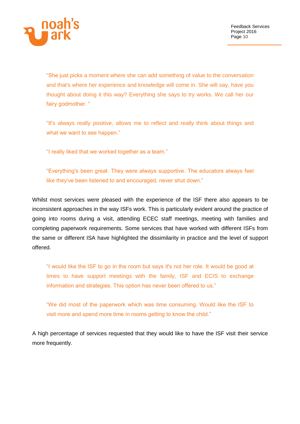

"She just picks a moment where she can add something of value to the conversation and that's where her experience and knowledge will come in. She will say, have you thought about doing it this way? Everything she says to try works. We call her our fairy godmother. "

"It's always really positive, allows me to reflect and really think about things and what we want to see happen."

"I really liked that we worked together as a team."

"Everything's been great. They were always supportive. The educators always feel like they've been listened to and encouraged, never shut down."

Whilst most services were pleased with the experience of the ISF there also appears to be inconsistent approaches in the way ISFs work. This is particularly evident around the practice of going into rooms during a visit, attending ECEC staff meetings, meeting with families and completing paperwork requirements. Some services that have worked with different ISFs from the same or different ISA have highlighted the dissimilarity in practice and the level of support offered.

"I would like the ISF to go in the room but says it's not her role. It would be good at times to have support meetings with the family, ISF and ECIS to exchange information and strategies. This option has never been offered to us."

"We did most of the paperwork which was time consuming. Would like the ISF to visit more and spend more time in rooms getting to know the child."

A high percentage of services requested that they would like to have the ISF visit their service more frequently.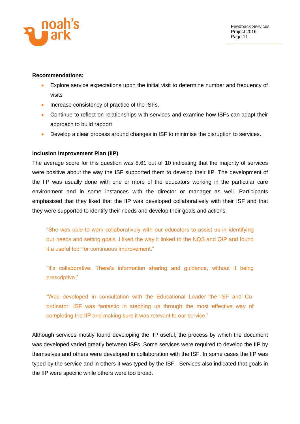

#### **Recommendations:**

- Explore service expectations upon the initial visit to determine number and frequency of visits
- Increase consistency of practice of the ISFs.
- Continue to reflect on relationships with services and examine how ISFs can adapt their approach to build rapport
- Develop a clear process around changes in ISF to minimise the disruption to services.

#### **Inclusion Improvement Plan (IIP)**

The average score for this question was 8.61 out of 10 indicating that the majority of services were positive about the way the ISF supported them to develop their IIP. The development of the IIP was usually done with one or more of the educators working in the particular care environment and in some instances with the director or manager as well. Participants emphasised that they liked that the IIP was developed collaboratively with their ISF and that they were supported to identify their needs and develop their goals and actions.

"She was able to work collaboratively with our educators to assist us in identifying our needs and setting goals. I liked the way it linked to the NQS and QIP and found it a useful tool for continuous improvement."

"It's collaborative. There's information sharing and guidance, without it being prescriptive."

"Was developed in consultation with the Educational Leader the ISF and Coordinator. ISF was fantastic in stepping us through the most effective way of completing the IIP and making sure it was relevant to our service."

Although services mostly found developing the IIP useful, the process by which the document was developed varied greatly between ISFs. Some services were required to develop the IIP by themselves and others were developed in collaboration with the ISF. In some cases the IIP was typed by the service and in others it was typed by the ISF. Services also indicated that goals in the IIP were specific while others were too broad.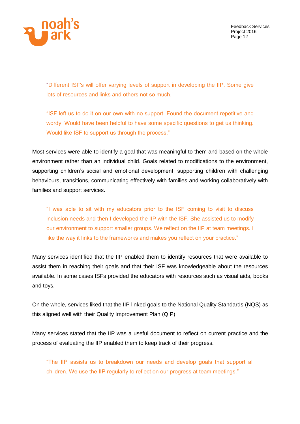

"Different ISF's will offer varying levels of support in developing the IIP. Some give lots of resources and links and others not so much."

"ISF left us to do it on our own with no support. Found the document repetitive and wordy. Would have been helpful to have some specific questions to get us thinking. Would like ISF to support us through the process."

Most services were able to identify a goal that was meaningful to them and based on the whole environment rather than an individual child. Goals related to modifications to the environment, supporting children's social and emotional development, supporting children with challenging behaviours, transitions, communicating effectively with families and working collaboratively with families and support services.

"I was able to sit with my educators prior to the ISF coming to visit to discuss inclusion needs and then I developed the IIP with the ISF. She assisted us to modify our environment to support smaller groups. We reflect on the IIP at team meetings. I like the way it links to the frameworks and makes you reflect on your practice."

Many services identified that the IIP enabled them to identify resources that were available to assist them in reaching their goals and that their ISF was knowledgeable about the resources available. In some cases ISFs provided the educators with resources such as visual aids, books and toys.

On the whole, services liked that the IIP linked goals to the National Quality Standards (NQS) as this aligned well with their Quality Improvement Plan (QIP).

Many services stated that the IIP was a useful document to reflect on current practice and the process of evaluating the IIP enabled them to keep track of their progress.

"The IIP assists us to breakdown our needs and develop goals that support all children. We use the IIP regularly to reflect on our progress at team meetings."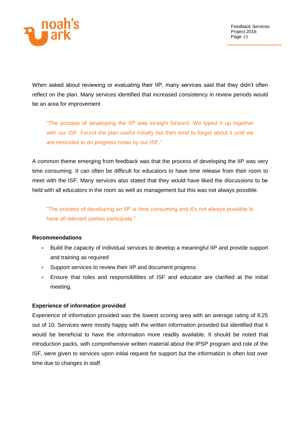

When asked about reviewing or evaluating their IIP, many services said that they didn't often reflect on the plan. Many services identified that increased consistency in review periods would be an area for improvement

"The process of developing the IIP was straight forward. We typed it up together with our ISF. Found the plan useful initially but then tend to forget about it until we are reminded to do progress notes by our ISF."

A common theme emerging from feedback was that the process of developing the IIP was very time consuming. It can often be difficult for educators to have time release from their room to meet with the ISF. Many services also stated that they would have liked the discussions to be held with all educators in the room as well as management but this was not always possible.

"The process of developing an IIP is time consuming and it's not always possible to have all relevant parties participate."

#### **Recommendations**

- Build the capacity of individual services to develop a meaningful IIP and provide support and training as required
- Support services to review their IIP and document progress
- Ensure that roles and responsibilities of ISF and educator are clarified at the initial meeting.

#### **Experience of information provided**

Experience of information provided was the lowest scoring area with an average rating of 8.25 out of 10. Services were mostly happy with the written information provided but identified that it would be beneficial to have the information more readily available. It should be noted that introduction packs, with comprehensive written material about the IPSP program and role of the ISF, were given to services upon initial request for support but the information is often lost over time due to changes in staff.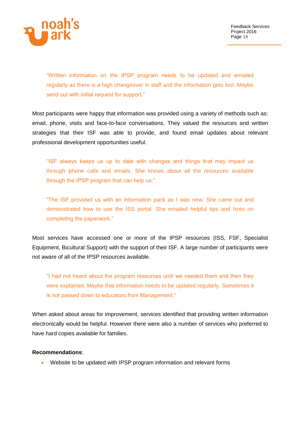

"Written information on the IPSP program needs to be updated and emailed regularly as there is a high changeover in staff and the information gets lost. Maybe send out with initial request for support."

Most participants were happy that information was provided using a variety of methods such as: email, phone, visits and face-to-face conversations. They valued the resources and written strategies that their ISF was able to provide, and found email updates about relevant professional development opportunities useful.

"ISF always keeps us up to date with changes and things that may impact us through phone calls and emails. She knows about all the resources available through the IPSP program that can help us."

"The ISF provided us with an information pack as I was new. She came out and demonstrated how to use the ISS portal. She emailed helpful tips and hints on completing the paperwork."

Most services have accessed one or more of the IPSP resources (ISS, FSF, Specialist Equipment, Bicultural Support) with the support of their ISF. A large number of participants were not aware of all of the IPSP resources available.

"I had not heard about the program resources until we needed them and then they were explained. Maybe that information needs to be updated regularly. Sometimes it is not passed down to educators from Management."

When asked about areas for improvement, services identified that providing written information electronically would be helpful. However there were also a number of services who preferred to have hard copies available for families.

#### **Recommendations**:

Website to be updated with IPSP program information and relevant forms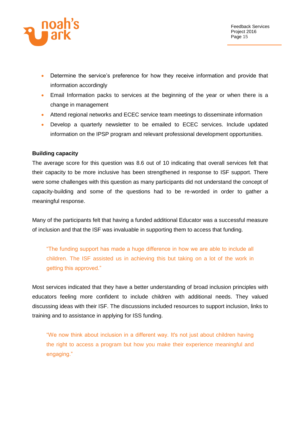

- Determine the service's preference for how they receive information and provide that information accordingly
- Email Information packs to services at the beginning of the year or when there is a change in management
- Attend regional networks and ECEC service team meetings to disseminate information
- Develop a quarterly newsletter to be emailed to ECEC services. Include updated information on the IPSP program and relevant professional development opportunities.

#### **Building capacity**

The average score for this question was 8.6 out of 10 indicating that overall services felt that their capacity to be more inclusive has been strengthened in response to ISF support. There were some challenges with this question as many participants did not understand the concept of capacity-building and some of the questions had to be re-worded in order to gather a meaningful response.

Many of the participants felt that having a funded additional Educator was a successful measure of inclusion and that the ISF was invaluable in supporting them to access that funding.

"The funding support has made a huge difference in how we are able to include all children. The ISF assisted us in achieving this but taking on a lot of the work in getting this approved."

Most services indicated that they have a better understanding of broad inclusion principles with educators feeling more confident to include children with additional needs. They valued discussing ideas with their ISF. The discussions included resources to support inclusion, links to training and to assistance in applying for ISS funding.

"We now think about inclusion in a different way. It's not just about children having the right to access a program but how you make their experience meaningful and engaging."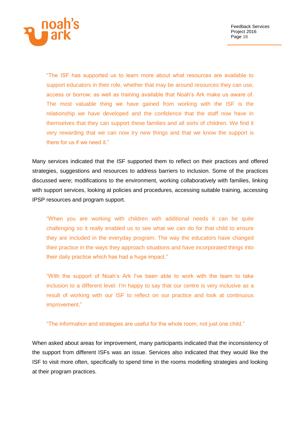

"The ISF has supported us to learn more about what resources are available to support educators in their role, whether that may be around resources they can use, access or borrow; as well as training available that Noah's Ark make us aware of. The most valuable thing we have gained from working with the ISF is the relationship we have developed and the confidence that the staff now have in themselves that they can support these families and all sorts of children. We find it very rewarding that we can now try new things and that we know the support is there for us if we need it."

Many services indicated that the ISF supported them to reflect on their practices and offered strategies, suggestions and resources to address barriers to inclusion. Some of the practices discussed were; modifications to the environment, working collaboratively with families, linking with support services, looking at policies and procedures, accessing suitable training, accessing IPSP resources and program support.

"When you are working with children with additional needs it can be quite challenging so it really enabled us to see what we can do for that child to ensure they are included in the everyday program. The way the educators have changed their practice in the ways they approach situations and have incorporated things into their daily practice which has had a huge impact."

"With the support of Noah's Ark I've been able to work with the team to take inclusion to a different level. I'm happy to say that our centre is very inclusive as a result of working with our ISF to reflect on our practice and look at continuous improvement."

"The information and strategies are useful for the whole room, not just one child."

When asked about areas for improvement, many participants indicated that the inconsistency of the support from different ISFs was an issue. Services also indicated that they would like the ISF to visit more often, specifically to spend time in the rooms modelling strategies and looking at their program practices.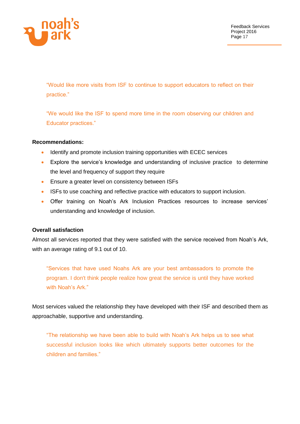

"Would like more visits from ISF to continue to support educators to reflect on their practice."

"We would like the ISF to spend more time in the room observing our children and Educator practices."

#### **Recommendations:**

- Identify and promote inclusion training opportunities with ECEC services
- Explore the service's knowledge and understanding of inclusive practice to determine the level and frequency of support they require
- **Ensure a greater level on consistency between ISFs**
- **ISFs to use coaching and reflective practice with educators to support inclusion.**
- Offer training on Noah's Ark Inclusion Practices resources to increase services' understanding and knowledge of inclusion.

#### **Overall satisfaction**

Almost all services reported that they were satisfied with the service received from Noah's Ark, with an average rating of 9.1 out of 10.

"Services that have used Noahs Ark are your best ambassadors to promote the program. I don't think people realize how great the service is until they have worked with Noah's Ark."

Most services valued the relationship they have developed with their ISF and described them as approachable, supportive and understanding.

"The relationship we have been able to build with Noah's Ark helps us to see what successful inclusion looks like which ultimately supports better outcomes for the children and families."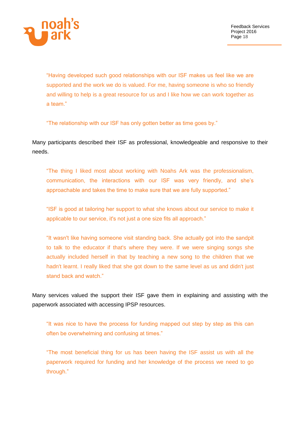

"Having developed such good relationships with our ISF makes us feel like we are supported and the work we do is valued. For me, having someone is who so friendly and willing to help is a great resource for us and I like how we can work together as a team."

"The relationship with our ISF has only gotten better as time goes by."

Many participants described their ISF as professional, knowledgeable and responsive to their needs.

"The thing I liked most about working with Noahs Ark was the professionalism, communication, the interactions with our ISF was very friendly, and she's approachable and takes the time to make sure that we are fully supported."

"ISF is good at tailoring her support to what she knows about our service to make it applicable to our service, it's not just a one size fits all approach."

"It wasn't like having someone visit standing back. She actually got into the sandpit to talk to the educator if that's where they were. If we were singing songs she actually included herself in that by teaching a new song to the children that we hadn't learnt. I really liked that she got down to the same level as us and didn't just stand back and watch."

Many services valued the support their ISF gave them in explaining and assisting with the paperwork associated with accessing IPSP resources.

"It was nice to have the process for funding mapped out step by step as this can often be overwhelming and confusing at times."

"The most beneficial thing for us has been having the ISF assist us with all the paperwork required for funding and her knowledge of the process we need to go through."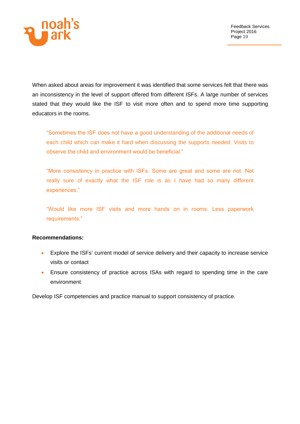

When asked about areas for improvement it was identified that some services felt that there was an inconsistency in the level of support offered from different ISFs. A large number of services stated that they would like the ISF to visit more often and to spend more time supporting educators in the rooms.

"Sometimes the ISF does not have a good understanding of the additional needs of each child which can make it hard when discussing the supports needed. Visits to observe the child and environment would be beneficial."

"More consistency in practice with ISFs. Some are great and some are not. Not really sure of exactly what the ISF role is as I have had so many different experiences."

"Would like more ISF visits and more hands on in rooms. Less paperwork requirements."

#### **Recommendations:**

- Explore the ISFs' current model of service delivery and their capacity to increase service visits or contact
- Ensure consistency of practice across ISAs with regard to spending time in the care environment

Develop ISF competencies and practice manual to support consistency of practice.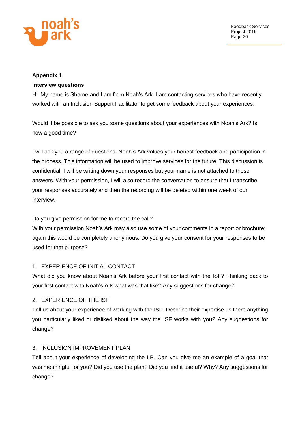

# **Appendix 1 Interview questions**

Hi. My name is Sharne and I am from Noah's Ark. I am contacting services who have recently worked with an Inclusion Support Facilitator to get some feedback about your experiences.

Would it be possible to ask you some questions about your experiences with Noah's Ark? Is now a good time?

I will ask you a range of questions. Noah's Ark values your honest feedback and participation in the process. This information will be used to improve services for the future. This discussion is confidential. I will be writing down your responses but your name is not attached to those answers. With your permission, I will also record the conversation to ensure that I transcribe your responses accurately and then the recording will be deleted within one week of our interview.

# Do you give permission for me to record the call?

With your permission Noah's Ark may also use some of your comments in a report or brochure; again this would be completely anonymous. Do you give your consent for your responses to be used for that purpose?

# 1. EXPERIENCE OF INITIAL CONTACT

What did you know about Noah's Ark before your first contact with the ISF? Thinking back to your first contact with Noah's Ark what was that like? Any suggestions for change?

# 2. EXPERIENCE OF THE ISF

Tell us about your experience of working with the ISF. Describe their expertise. Is there anything you particularly liked or disliked about the way the ISF works with you? Any suggestions for change?

# 3. INCLUSION IMPROVEMENT PLAN

Tell about your experience of developing the IIP. Can you give me an example of a goal that was meaningful for you? Did you use the plan? Did you find it useful? Why? Any suggestions for change?